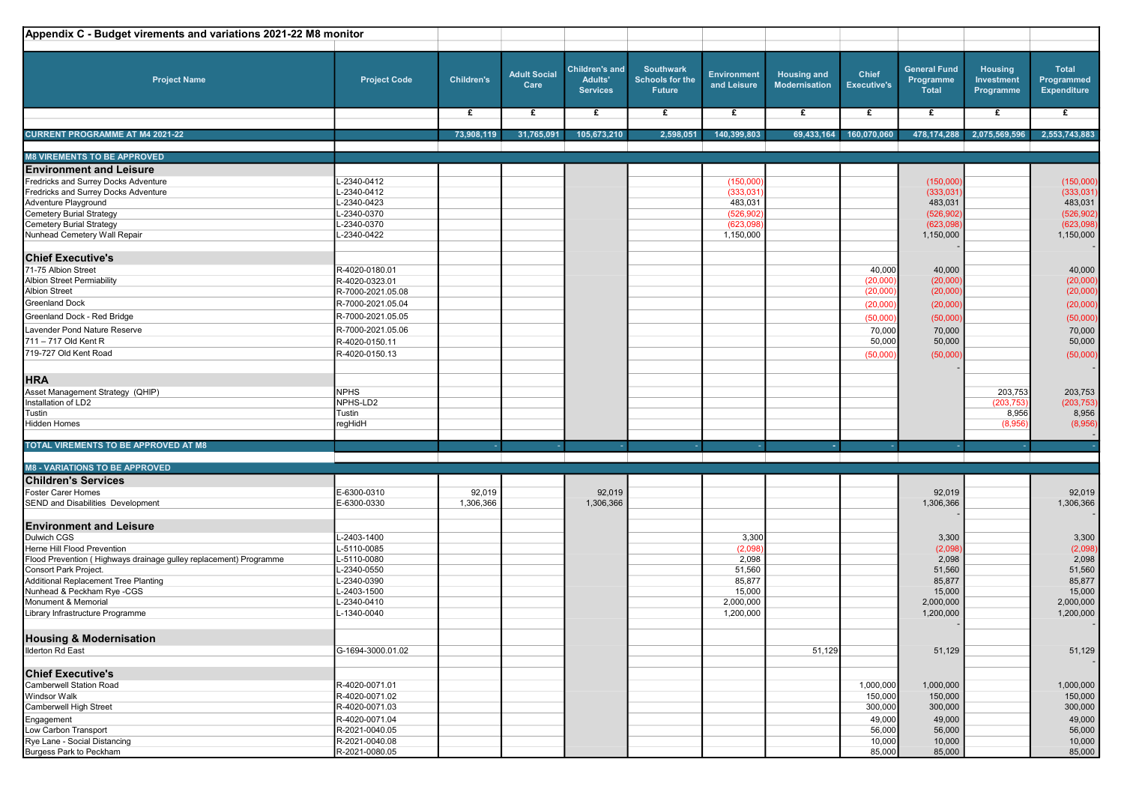| Appendix C - Budget virements and variations 2021-22 M8 monitor                     |                          |                   |                             |                                                            |                                                      |                                   |                                            |                                    |                                                  |                                           |                                                  |
|-------------------------------------------------------------------------------------|--------------------------|-------------------|-----------------------------|------------------------------------------------------------|------------------------------------------------------|-----------------------------------|--------------------------------------------|------------------------------------|--------------------------------------------------|-------------------------------------------|--------------------------------------------------|
| <b>Project Name</b>                                                                 | <b>Project Code</b>      | <b>Children's</b> | <b>Adult Social</b><br>Care | <b>Children's and</b><br><b>Adults'</b><br><b>Services</b> | <b>Southwark</b><br><b>Schools for the</b><br>Future | <b>Environment</b><br>and Leisure | <b>Housing and</b><br><b>Modernisation</b> | <b>Chief</b><br><b>Executive's</b> | <b>General Fund</b><br>Programme<br><b>Total</b> | <b>Housing</b><br>Investment<br>Programme | <b>Total</b><br>Programmed<br><b>Expenditure</b> |
|                                                                                     |                          | $\mathbf{f}$      | $\overline{f}$              | £                                                          | £                                                    | $\overline{f}$                    | $\overline{f}$                             | £                                  | £                                                | £                                         | $\overline{f}$                                   |
| <b>CURRENT PROGRAMME AT M4 2021-22</b>                                              |                          | 73,908,119        | 31,765,091                  | 105,673,210                                                | 2,598,051                                            | 140,399,803                       | 69,433,164                                 | 160,070,060                        | 478,174,288                                      | 2,075,569,596                             | 2,553,743,883                                    |
| <b>M8 VIREMENTS TO BE APPROVED</b>                                                  |                          |                   |                             |                                                            |                                                      |                                   |                                            |                                    |                                                  |                                           |                                                  |
|                                                                                     |                          |                   |                             |                                                            |                                                      |                                   |                                            |                                    |                                                  |                                           |                                                  |
| <b>Environment and Leisure</b>                                                      | -2340-0412               |                   |                             |                                                            |                                                      |                                   |                                            |                                    |                                                  |                                           |                                                  |
| Fredricks and Surrey Docks Adventure<br><b>Fredricks and Surrey Docks Adventure</b> | -2340-0412               |                   |                             |                                                            |                                                      | (150,000)<br>(333,031)            |                                            |                                    | (150,000)<br>(333,031)                           |                                           | (150,000)<br>(333,031)                           |
| Adventure Playground                                                                | -2340-0423               |                   |                             |                                                            |                                                      | 483,031                           |                                            |                                    | 483,031                                          |                                           | 483,031                                          |
| Cemetery Burial Strategy                                                            | -2340-0370               |                   |                             |                                                            |                                                      | (526, 902)                        |                                            |                                    | (526, 902)                                       |                                           | (526, 902)                                       |
| <b>Cemetery Burial Strategy</b>                                                     | -2340-0370               |                   |                             |                                                            |                                                      | (623,098)                         |                                            |                                    | (623,098)                                        |                                           | (623,098)                                        |
| Nunhead Cemetery Wall Repair                                                        | -2340-0422               |                   |                             |                                                            |                                                      | 1,150,000                         |                                            |                                    | 1,150,000                                        |                                           | 1,150,000                                        |
|                                                                                     |                          |                   |                             |                                                            |                                                      |                                   |                                            |                                    |                                                  |                                           |                                                  |
| <b>Chief Executive's</b>                                                            |                          |                   |                             |                                                            |                                                      |                                   |                                            |                                    |                                                  |                                           |                                                  |
| 71-75 Albion Street                                                                 | R-4020-0180.01           |                   |                             |                                                            |                                                      |                                   |                                            | 40,000                             | 40,000                                           |                                           | 40,000                                           |
| <b>Albion Street Permiability</b>                                                   | R-4020-0323.01           |                   |                             |                                                            |                                                      |                                   |                                            | (20,000)                           | (20,000)                                         |                                           | (20,000)                                         |
| <b>Albion Street</b>                                                                | R-7000-2021.05.08        |                   |                             |                                                            |                                                      |                                   |                                            | (20,000)                           | (20,000)                                         |                                           | (20,000)                                         |
| <b>Greenland Dock</b>                                                               | R-7000-2021.05.04        |                   |                             |                                                            |                                                      |                                   |                                            | (20,000)                           | (20,000)                                         |                                           | (20,000)                                         |
| Greenland Dock - Red Bridge                                                         | R-7000-2021.05.05        |                   |                             |                                                            |                                                      |                                   |                                            | (50,000)                           | (50,000)                                         |                                           | (50,000)                                         |
| Lavender Pond Nature Reserve                                                        | R-7000-2021.05.06        |                   |                             |                                                            |                                                      |                                   |                                            | 70,000                             | 70,000                                           |                                           | 70,000                                           |
| 711 - 717 Old Kent R                                                                | R-4020-0150.11           |                   |                             |                                                            |                                                      |                                   |                                            | 50,000                             | 50,000                                           |                                           | 50,000                                           |
| 719-727 Old Kent Road                                                               | R-4020-0150.13           |                   |                             |                                                            |                                                      |                                   |                                            | (50,000)                           | (50,000)                                         |                                           | (50,000)                                         |
|                                                                                     |                          |                   |                             |                                                            |                                                      |                                   |                                            |                                    |                                                  |                                           |                                                  |
| <b>HRA</b>                                                                          |                          |                   |                             |                                                            |                                                      |                                   |                                            |                                    |                                                  |                                           |                                                  |
| Asset Management Strategy (QHIP)                                                    | <b>NPHS</b>              |                   |                             |                                                            |                                                      |                                   |                                            |                                    |                                                  | 203,753                                   |                                                  |
| Installation of LD2                                                                 | NPHS-LD2                 |                   |                             |                                                            |                                                      |                                   |                                            |                                    |                                                  | (203, 753)                                | 203,753<br>(203, 753)                            |
| Tustin                                                                              | Tustin                   |                   |                             |                                                            |                                                      |                                   |                                            |                                    |                                                  | 8,956                                     | 8,956                                            |
| Hidden Homes                                                                        | regHidH                  |                   |                             |                                                            |                                                      |                                   |                                            |                                    |                                                  | (8,956)                                   | (8,956)                                          |
|                                                                                     |                          |                   |                             |                                                            |                                                      |                                   |                                            |                                    |                                                  |                                           |                                                  |
| TOTAL VIREMENTS TO BE APPROVED AT M8                                                |                          |                   |                             | $\sim$                                                     |                                                      |                                   | $\sim$                                     | ×,                                 |                                                  |                                           |                                                  |
|                                                                                     |                          |                   |                             |                                                            |                                                      |                                   |                                            |                                    |                                                  |                                           |                                                  |
| <b>M8 - VARIATIONS TO BE APPROVED</b>                                               |                          |                   |                             |                                                            |                                                      |                                   |                                            |                                    |                                                  |                                           |                                                  |
| <b>Children's Services</b>                                                          |                          |                   |                             |                                                            |                                                      |                                   |                                            |                                    |                                                  |                                           |                                                  |
| Foster Carer Homes                                                                  | E-6300-0310              | 92,019            |                             | 92,019                                                     |                                                      |                                   |                                            |                                    | 92,019                                           |                                           | 92,019                                           |
| SEND and Disabilities Development                                                   | E-6300-0330              | 1,306,366         |                             | 1,306,366                                                  |                                                      |                                   |                                            |                                    | 1,306,366                                        |                                           | 1,306,366                                        |
|                                                                                     |                          |                   |                             |                                                            |                                                      |                                   |                                            |                                    |                                                  |                                           |                                                  |
| <b>Environment and Leisure</b>                                                      |                          |                   |                             |                                                            |                                                      |                                   |                                            |                                    |                                                  |                                           |                                                  |
| Dulwich CGS                                                                         | -2403-1400               |                   |                             |                                                            |                                                      | 3,300                             |                                            |                                    | 3,300                                            |                                           | 3,300                                            |
| Herne Hill Flood Prevention                                                         | -5110-0085               |                   |                             |                                                            |                                                      | (2,098)                           |                                            |                                    | (2,098)                                          |                                           | (2,098)                                          |
| Flood Prevention (Highways drainage gulley replacement) Programme                   | -5110-0080               |                   |                             |                                                            |                                                      | 2,098                             |                                            |                                    | 2,098                                            |                                           | 2,098                                            |
| Consort Park Project.<br><b>Additional Replacement Tree Planting</b>                | -2340-0550<br>-2340-0390 |                   |                             |                                                            |                                                      | 51,560<br>85,877                  |                                            |                                    | 51,560<br>85,877                                 |                                           | 51,560<br>85,877                                 |
| Nunhead & Peckham Rye -CGS                                                          | -2403-1500               |                   |                             |                                                            |                                                      | 15,000                            |                                            |                                    | 15,000                                           |                                           | 15,000                                           |
| Monument & Memorial                                                                 | -2340-0410               |                   |                             |                                                            |                                                      | 2,000,000                         |                                            |                                    | 2,000,000                                        |                                           | 2,000,000                                        |
| Library Infrastructure Programme                                                    | -1340-0040               |                   |                             |                                                            |                                                      | 1,200,000                         |                                            |                                    | 1,200,000                                        |                                           | 1,200,000                                        |
|                                                                                     |                          |                   |                             |                                                            |                                                      |                                   |                                            |                                    |                                                  |                                           |                                                  |
| <b>Housing &amp; Modernisation</b>                                                  |                          |                   |                             |                                                            |                                                      |                                   |                                            |                                    |                                                  |                                           |                                                  |
| <b>Ilderton Rd East</b>                                                             | G-1694-3000.01.02        |                   |                             |                                                            |                                                      |                                   | 51,129                                     |                                    | 51,129                                           |                                           | 51,129                                           |
|                                                                                     |                          |                   |                             |                                                            |                                                      |                                   |                                            |                                    |                                                  |                                           |                                                  |
| <b>Chief Executive's</b>                                                            |                          |                   |                             |                                                            |                                                      |                                   |                                            |                                    |                                                  |                                           |                                                  |
| <b>Camberwell Station Road</b>                                                      | R-4020-0071.01           |                   |                             |                                                            |                                                      |                                   |                                            | 1,000,000                          | 1,000,000                                        |                                           | 1,000,000                                        |
| <b>Windsor Walk</b>                                                                 | R-4020-0071.02           |                   |                             |                                                            |                                                      |                                   |                                            | 150,000                            | 150,000                                          |                                           | 150,000                                          |
| Camberwell High Street                                                              | R-4020-0071.03           |                   |                             |                                                            |                                                      |                                   |                                            | 300,000                            | 300,000                                          |                                           | 300,000                                          |
| Engagement                                                                          | R-4020-0071.04           |                   |                             |                                                            |                                                      |                                   |                                            | 49,000                             | 49,000                                           |                                           | 49,000                                           |
| Low Carbon Transport                                                                | R-2021-0040.05           |                   |                             |                                                            |                                                      |                                   |                                            | 56,000                             | 56,000                                           |                                           | 56,000                                           |
| Rye Lane - Social Distancing                                                        | R-2021-0040.08           |                   |                             |                                                            |                                                      |                                   |                                            | 10,000                             | 10,000                                           |                                           | 10,000                                           |
| Burgess Park to Peckham                                                             | R-2021-0080.05           |                   |                             |                                                            |                                                      |                                   |                                            | 85,000                             | 85,000                                           |                                           | 85,000                                           |